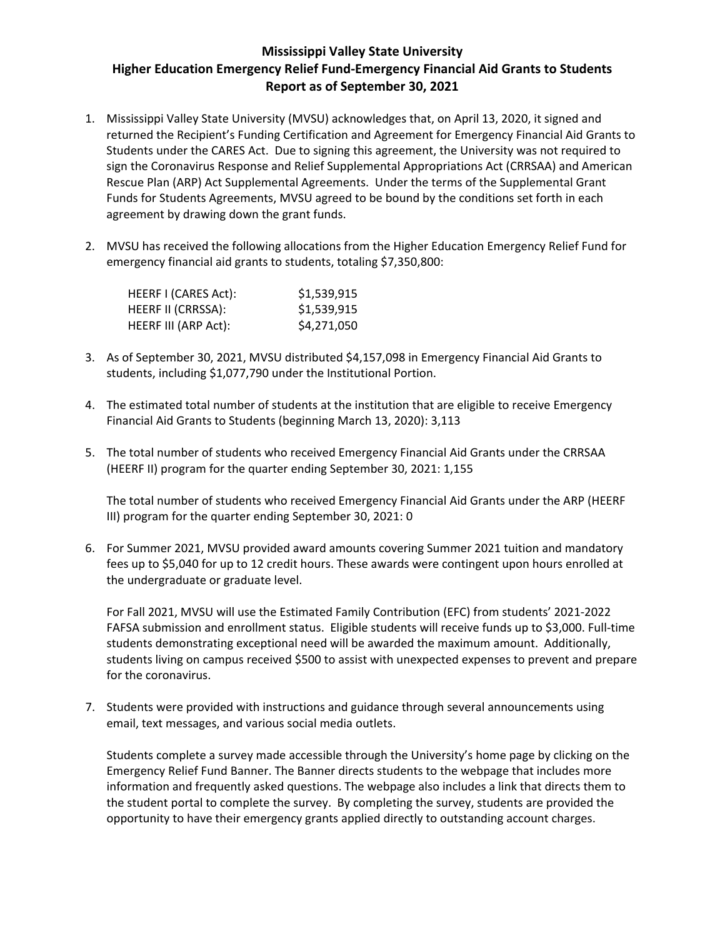## **Mississippi Valley State University Higher Education Emergency Relief Fund-Emergency Financial Aid Grants to Students Report as of September 30, 2021**

- 1. Mississippi Valley State University (MVSU) acknowledges that, on April 13, 2020, it signed and returned the Recipient's Funding Certification and Agreement for Emergency Financial Aid Grants to Students under the CARES Act. Due to signing this agreement, the University was not required to sign the Coronavirus Response and Relief Supplemental Appropriations Act (CRRSAA) and American Rescue Plan (ARP) Act Supplemental Agreements. Under the terms of the Supplemental Grant Funds for Students Agreements, MVSU agreed to be bound by the conditions set forth in each agreement by drawing down the grant funds.
- 2. MVSU has received the following allocations from the Higher Education Emergency Relief Fund for emergency financial aid grants to students, totaling \$7,350,800:

| HEERF I (CARES Act): | \$1,539,915 |
|----------------------|-------------|
| HEERF II (CRRSSA):   | \$1,539,915 |
| HEERF III (ARP Act): | \$4,271,050 |

- 3. As of September 30, 2021, MVSU distributed \$4,157,098 in Emergency Financial Aid Grants to students, including \$1,077,790 under the Institutional Portion.
- 4. The estimated total number of students at the institution that are eligible to receive Emergency Financial Aid Grants to Students (beginning March 13, 2020): 3,113
- 5. The total number of students who received Emergency Financial Aid Grants under the CRRSAA (HEERF II) program for the quarter ending September 30, 2021: 1,155

The total number of students who received Emergency Financial Aid Grants under the ARP (HEERF III) program for the quarter ending September 30, 2021: 0

6. For Summer 2021, MVSU provided award amounts covering Summer 2021 tuition and mandatory fees up to \$5,040 for up to 12 credit hours. These awards were contingent upon hours enrolled at the undergraduate or graduate level.

For Fall 2021, MVSU will use the Estimated Family Contribution (EFC) from students' 2021-2022 FAFSA submission and enrollment status. Eligible students will receive funds up to \$3,000. Full-time students demonstrating exceptional need will be awarded the maximum amount. Additionally, students living on campus received \$500 to assist with unexpected expenses to prevent and prepare for the coronavirus.

7. Students were provided with instructions and guidance through several announcements using email, text messages, and various social media outlets.

Students complete a survey made accessible through the University's home page by clicking on the Emergency Relief Fund Banner. The Banner directs students to the webpage that includes more information and frequently asked questions. The webpage also includes a link that directs them to the student portal to complete the survey. By completing the survey, students are provided the opportunity to have their emergency grants applied directly to outstanding account charges.